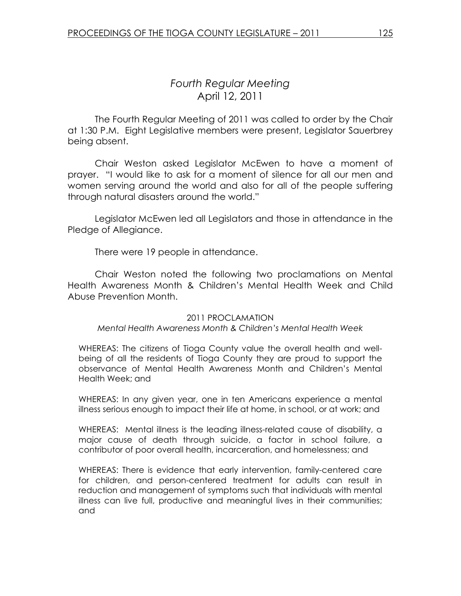The Fourth Regular Meeting of 2011 was called to order by the Chair at 1:30 P.M. Eight Legislative members were present, Legislator Sauerbrey being absent.

Chair Weston asked Legislator McEwen to have a moment of prayer. "I would like to ask for a moment of silence for all our men and women serving around the world and also for all of the people suffering through natural disasters around the world."

 Legislator McEwen led all Legislators and those in attendance in the Pledge of Allegiance.

There were 19 people in attendance.

Chair Weston noted the following two proclamations on Mental Health Awareness Month & Children's Mental Health Week and Child Abuse Prevention Month.

### 2011 PROCLAMATION

### Mental Health Awareness Month & Children's Mental Health Week

WHEREAS: The citizens of Tioga County value the overall health and wellbeing of all the residents of Tioga County they are proud to support the observance of Mental Health Awareness Month and Children's Mental Health Week; and

WHEREAS: In any given year, one in ten Americans experience a mental illness serious enough to impact their life at home, in school, or at work; and

WHEREAS: Mental illness is the leading illness-related cause of disability, a major cause of death through suicide, a factor in school failure, a contributor of poor overall health, incarceration, and homelessness; and

WHEREAS: There is evidence that early intervention, family-centered care for children, and person-centered treatment for adults can result in reduction and management of symptoms such that individuals with mental illness can live full, productive and meaningful lives in their communities; and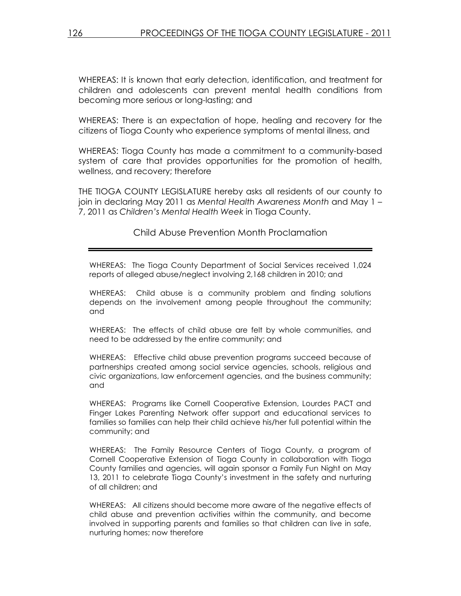WHEREAS: It is known that early detection, identification, and treatment for children and adolescents can prevent mental health conditions from becoming more serious or long-lasting; and

WHEREAS: There is an expectation of hope, healing and recovery for the citizens of Tioga County who experience symptoms of mental illness, and

WHEREAS: Tioga County has made a commitment to a community-based system of care that provides opportunities for the promotion of health, wellness, and recovery; therefore

THE TIOGA COUNTY LEGISLATURE hereby asks all residents of our county to join in declaring May 2011 as Mental Health Awareness Month and May 1 – 7, 2011 as Children's Mental Health Week in Tioga County.

Child Abuse Prevention Month Proclamation

WHEREAS: The Tioga County Department of Social Services received 1,024 reports of alleged abuse/neglect involving 2,168 children in 2010; and

WHEREAS: Child abuse is a community problem and finding solutions depends on the involvement among people throughout the community; and

WHEREAS: The effects of child abuse are felt by whole communities, and need to be addressed by the entire community; and

WHEREAS: Effective child abuse prevention programs succeed because of partnerships created among social service agencies, schools, religious and civic organizations, law enforcement agencies, and the business community; and

WHEREAS: Programs like Cornell Cooperative Extension, Lourdes PACT and Finger Lakes Parenting Network offer support and educational services to families so families can help their child achieve his/her full potential within the community; and

WHEREAS: The Family Resource Centers of Tioga County, a program of Cornell Cooperative Extension of Tioga County in collaboration with Tioga County families and agencies, will again sponsor a Family Fun Night on May 13, 2011 to celebrate Tioga County's investment in the safety and nurturing of all children; and

WHEREAS: All citizens should become more aware of the negative effects of child abuse and prevention activities within the community, and become involved in supporting parents and families so that children can live in safe, nurturing homes; now therefore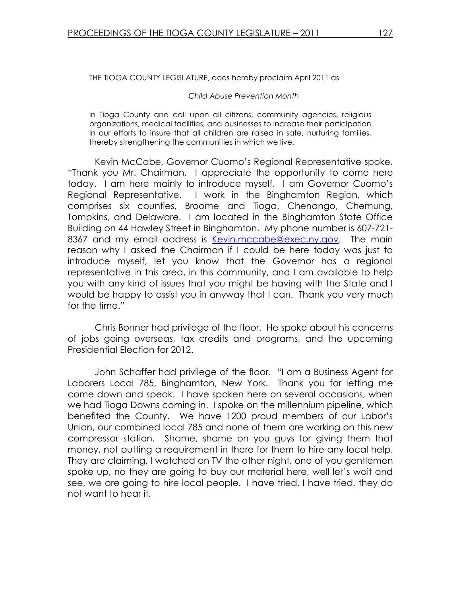THE TIOGA COUNTY LEGISLATURE, does hereby proclaim April 2011 as

#### Child Abuse Prevention Month

in Tioga County and call upon all citizens, community agencies, religious organizations, medical facilities, and businesses to increase their participation in our efforts to insure that all children are raised in safe, nurturing families, thereby strengthening the communities in which we live.

 Kevin McCabe, Governor Cuomo's Regional Representative spoke. "Thank you Mr. Chairman. I appreciate the opportunity to come here today. I am here mainly to introduce myself. I am Governor Cuomo's Regional Representative. I work in the Binghamton Region, which comprises six counties, Broome and Tioga, Chenango, Chemung, Tompkins, and Delaware. I am located in the Binghamton State Office Building on 44 Hawley Street in Binghamton. My phone number is 607-721- 8367 and my email address is Kevin.mccabe@exec.ny.gov. The main reason why I asked the Chairman if I could be here today was just to introduce myself, let you know that the Governor has a regional representative in this area, in this community, and I am available to help you with any kind of issues that you might be having with the State and I would be happy to assist you in anyway that I can. Thank you very much for the time."

 Chris Bonner had privilege of the floor. He spoke about his concerns of jobs going overseas, tax credits and programs, and the upcoming Presidential Election for 2012.

 John Schaffer had privilege of the floor. "I am a Business Agent for Laborers Local 785, Binghamton, New York. Thank you for letting me come down and speak. I have spoken here on several occasions, when we had Tioga Downs coming in. I spoke on the millennium pipeline, which benefited the County. We have 1200 proud members of our Labor's Union, our combined local 785 and none of them are working on this new compressor station. Shame, shame on you guys for giving them that money, not putting a requirement in there for them to hire any local help. They are claiming, I watched on TV the other night, one of you gentlemen spoke up, no they are going to buy our material here, well let's wait and see, we are going to hire local people. I have tried, I have tried, they do not want to hear it.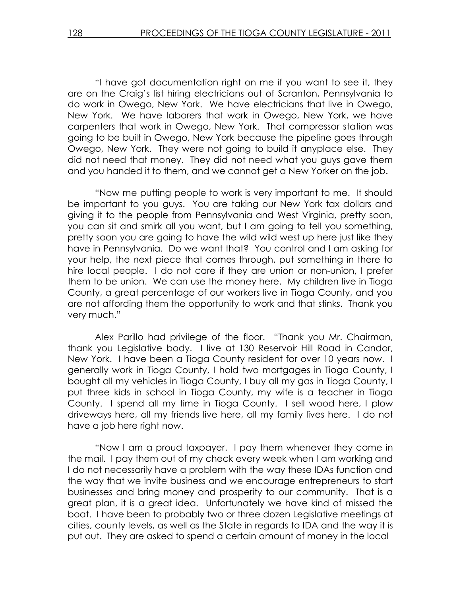"I have got documentation right on me if you want to see it, they are on the Craig's list hiring electricians out of Scranton, Pennsylvania to do work in Owego, New York. We have electricians that live in Owego, New York. We have laborers that work in Owego, New York, we have carpenters that work in Owego, New York. That compressor station was going to be built in Owego, New York because the pipeline goes through Owego, New York. They were not going to build it anyplace else. They did not need that money. They did not need what you guys gave them and you handed it to them, and we cannot get a New Yorker on the job.

 "Now me putting people to work is very important to me. It should be important to you guys. You are taking our New York tax dollars and giving it to the people from Pennsylvania and West Virginia, pretty soon, you can sit and smirk all you want, but I am going to tell you something, pretty soon you are going to have the wild wild west up here just like they have in Pennsylvania. Do we want that? You control and I am asking for your help, the next piece that comes through, put something in there to hire local people. I do not care if they are union or non-union, I prefer them to be union. We can use the money here. My children live in Tioga County, a great percentage of our workers live in Tioga County, and you are not affording them the opportunity to work and that stinks. Thank you very much."

 Alex Parillo had privilege of the floor. "Thank you Mr. Chairman, thank you Legislative body. I live at 130 Reservoir Hill Road in Candor, New York. I have been a Tioga County resident for over 10 years now. I generally work in Tioga County, I hold two mortgages in Tioga County, I bought all my vehicles in Tioga County, I buy all my gas in Tioga County, I put three kids in school in Tioga County, my wife is a teacher in Tioga County. I spend all my time in Tioga County. I sell wood here, I plow driveways here, all my friends live here, all my family lives here. I do not have a job here right now.

 "Now I am a proud taxpayer. I pay them whenever they come in the mail. I pay them out of my check every week when I am working and I do not necessarily have a problem with the way these IDAs function and the way that we invite business and we encourage entrepreneurs to start businesses and bring money and prosperity to our community. That is a great plan, it is a great idea. Unfortunately we have kind of missed the boat. I have been to probably two or three dozen Legislative meetings at cities, county levels, as well as the State in regards to IDA and the way it is put out. They are asked to spend a certain amount of money in the local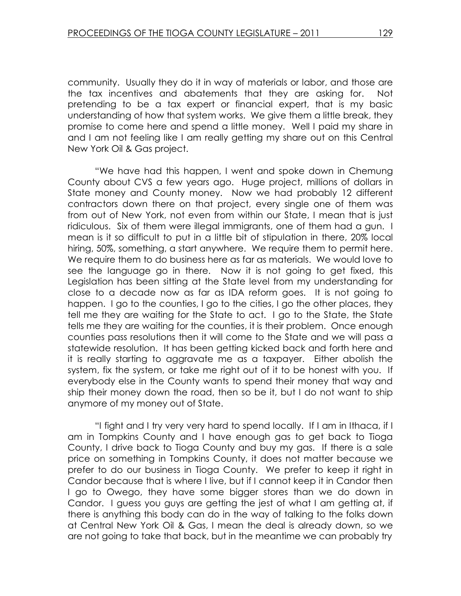community. Usually they do it in way of materials or labor, and those are the tax incentives and abatements that they are asking for. Not pretending to be a tax expert or financial expert, that is my basic understanding of how that system works. We give them a little break, they promise to come here and spend a little money. Well I paid my share in and I am not feeling like I am really getting my share out on this Central New York Oil & Gas project.

 "We have had this happen, I went and spoke down in Chemung County about CVS a few years ago. Huge project, millions of dollars in State money and County money. Now we had probably 12 different contractors down there on that project, every single one of them was from out of New York, not even from within our State, I mean that is just ridiculous. Six of them were illegal immigrants, one of them had a gun. I mean is it so difficult to put in a little bit of stipulation in there, 20% local hiring, 50%, something, a start anywhere. We require them to permit here. We require them to do business here as far as materials. We would love to see the language go in there. Now it is not going to get fixed, this Legislation has been sitting at the State level from my understanding for close to a decade now as far as IDA reform goes. It is not going to happen. I go to the counties, I go to the cities, I go the other places, they tell me they are waiting for the State to act. I go to the State, the State tells me they are waiting for the counties, it is their problem. Once enough counties pass resolutions then it will come to the State and we will pass a statewide resolution. It has been getting kicked back and forth here and it is really starting to aggravate me as a taxpayer. Either abolish the system, fix the system, or take me right out of it to be honest with you. If everybody else in the County wants to spend their money that way and ship their money down the road, then so be it, but I do not want to ship anymore of my money out of State.

"I fight and I try very very hard to spend locally. If I am in Ithaca, if I am in Tompkins County and I have enough gas to get back to Tioga County, I drive back to Tioga County and buy my gas. If there is a sale price on something in Tompkins County, it does not matter because we prefer to do our business in Tioga County. We prefer to keep it right in Candor because that is where I live, but if I cannot keep it in Candor then I go to Owego, they have some bigger stores than we do down in Candor. I guess you guys are getting the jest of what I am getting at, if there is anything this body can do in the way of talking to the folks down at Central New York Oil & Gas, I mean the deal is already down, so we are not going to take that back, but in the meantime we can probably try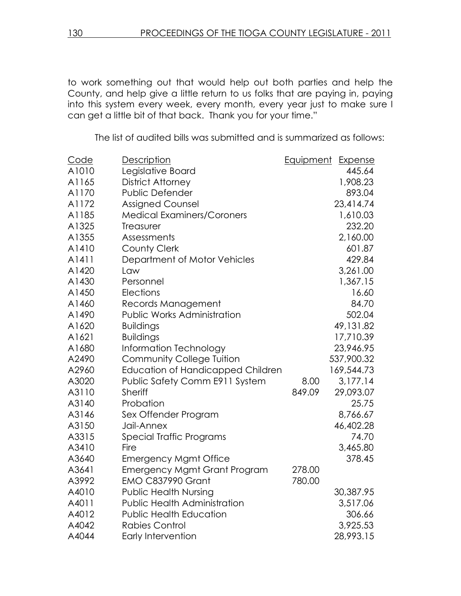to work something out that would help out both parties and help the County, and help give a little return to us folks that are paying in, paying into this system every week, every month, every year just to make sure I can get a little bit of that back. Thank you for your time."

The list of audited bills was submitted and is summarized as follows:

| Code  | Description                              | Equipment | Expense    |
|-------|------------------------------------------|-----------|------------|
| A1010 | Legislative Board                        |           | 445.64     |
| A1165 | <b>District Attorney</b>                 |           | 1,908.23   |
| A1170 | Public Defender                          |           | 893.04     |
| A1172 | <b>Assigned Counsel</b>                  |           | 23,414.74  |
| A1185 | <b>Medical Examiners/Coroners</b>        |           | 1,610.03   |
| A1325 | Treasurer                                |           | 232.20     |
| A1355 | Assessments                              |           | 2,160.00   |
| A1410 | County Clerk                             |           | 601.87     |
| A1411 | Department of Motor Vehicles             |           | 429.84     |
| A1420 | Law                                      |           | 3,261.00   |
| A1430 | Personnel                                |           | 1,367.15   |
| A1450 | Elections                                |           | 16.60      |
| A1460 | Records Management                       |           | 84.70      |
| A1490 | <b>Public Works Administration</b>       |           | 502.04     |
| A1620 | <b>Buildings</b>                         |           | 49,131.82  |
| A1621 | <b>Buildings</b>                         |           | 17,710.39  |
| A1680 | Information Technology                   |           | 23,946.95  |
| A2490 | <b>Community College Tuition</b>         |           | 537,900.32 |
| A2960 | <b>Education of Handicapped Children</b> |           | 169,544.73 |
| A3020 | Public Safety Comm E911 System           | 8.00      | 3,177.14   |
| A3110 | <b>Sheriff</b>                           | 849.09    | 29,093.07  |
| A3140 | Probation                                |           | 25.75      |
| A3146 | Sex Offender Program                     |           | 8,766.67   |
| A3150 | Jail-Annex                               |           | 46,402.28  |
| A3315 | Special Traffic Programs                 |           | 74.70      |
| A3410 | Fire                                     |           | 3,465.80   |
| A3640 | <b>Emergency Mgmt Office</b>             |           | 378.45     |
| A3641 | <b>Emergency Mgmt Grant Program</b>      | 278.00    |            |
| A3992 | <b>EMO C837990 Grant</b>                 | 780.00    |            |
| A4010 | <b>Public Health Nursing</b>             |           | 30,387.95  |
| A4011 | <b>Public Health Administration</b>      |           | 3,517.06   |
| A4012 | <b>Public Health Education</b>           |           | 306.66     |
| A4042 | <b>Rabies Control</b>                    |           | 3,925.53   |
| A4044 | <b>Early Intervention</b>                |           | 28,993.15  |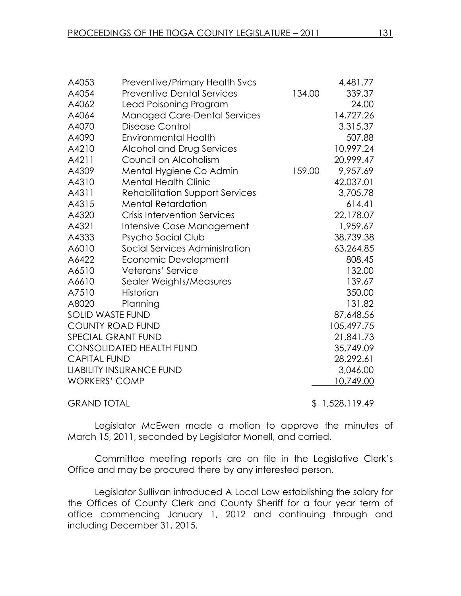| A4053                   | <b>Preventive/Primary Health Svcs</b>  |        | 4,481.77   |
|-------------------------|----------------------------------------|--------|------------|
| A4054                   | <b>Preventive Dental Services</b>      | 134.00 | 339.37     |
| A4062                   | Lead Poisoning Program                 |        | 24.00      |
| A4064                   | <b>Managed Care-Dental Services</b>    |        | 14,727.26  |
| A4070                   | Disease Control                        |        | 3,315.37   |
| A4090                   | <b>Environmental Health</b>            |        | 507.88     |
| A4210                   | Alcohol and Drug Services              |        | 10,997.24  |
| A4211                   | Council on Alcoholism                  |        | 20,999.47  |
| A4309                   | Mental Hygiene Co Admin                | 159.00 | 9,957.69   |
| A4310                   | <b>Mental Health Clinic</b>            |        | 42,037.01  |
| A4311                   | <b>Rehabilitation Support Services</b> |        | 3,705.78   |
| A4315                   | <b>Mental Retardation</b>              |        | 614.41     |
| A4320                   | <b>Crisis Intervention Services</b>    |        | 22,178.07  |
| A4321                   | Intensive Case Management              |        | 1,959.67   |
| A4333                   | Psycho Social Club                     |        | 38,739.38  |
| A6010                   | Social Services Administration         |        | 63,264.85  |
| A6422                   | Economic Development                   |        | 808.45     |
| A6510                   | Veterans' Service                      |        | 132.00     |
| A6610                   | Sealer Weights/Measures                |        | 139.67     |
| A7510                   | Historian                              |        | 350.00     |
| A8020                   | Planning                               |        | 131.82     |
| <b>SOLID WASTE FUND</b> |                                        |        | 87,648.56  |
|                         | <b>COUNTY ROAD FUND</b>                |        | 105,497.75 |
|                         | <b>SPECIAL GRANT FUND</b>              |        | 21,841.73  |
|                         | <b>CONSOLIDATED HEALTH FUND</b>        |        | 35,749.09  |
| <b>CAPITAL FUND</b>     |                                        |        | 28,292.61  |
|                         | <b>LIABILITY INSURANCE FUND</b>        |        | 3,046.00   |
| <b>WORKERS' COMP</b>    |                                        |        | 10,749.00  |
|                         |                                        |        |            |

GRAND TOTAL 5 1,528,119.49

Legislator McEwen made a motion to approve the minutes of March 15, 2011, seconded by Legislator Monell, and carried.

Committee meeting reports are on file in the Legislative Clerk's Office and may be procured there by any interested person.

 Legislator Sullivan introduced A Local Law establishing the salary for the Offices of County Clerk and County Sheriff for a four year term of office commencing January 1, 2012 and continuing through and including December 31, 2015.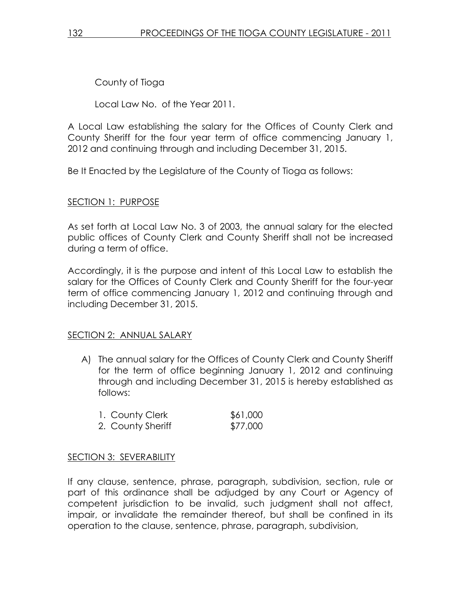County of Tioga

Local Law No. of the Year 2011.

A Local Law establishing the salary for the Offices of County Clerk and County Sheriff for the four year term of office commencing January 1, 2012 and continuing through and including December 31, 2015.

Be It Enacted by the Legislature of the County of Tioga as follows:

# SECTION 1: PURPOSE

As set forth at Local Law No. 3 of 2003, the annual salary for the elected public offices of County Clerk and County Sheriff shall not be increased during a term of office.

Accordingly, it is the purpose and intent of this Local Law to establish the salary for the Offices of County Clerk and County Sheriff for the four-year term of office commencing January 1, 2012 and continuing through and including December 31, 2015.

# SECTION 2: ANNUAL SALARY

A) The annual salary for the Offices of County Clerk and County Sheriff for the term of office beginning January 1, 2012 and continuing through and including December 31, 2015 is hereby established as follows:

| 1. County Clerk   | \$61,000 |
|-------------------|----------|
| 2. County Sheriff | \$77,000 |

# SECTION 3: SEVERABILITY

If any clause, sentence, phrase, paragraph, subdivision, section, rule or part of this ordinance shall be adjudged by any Court or Agency of competent jurisdiction to be invalid, such judgment shall not affect, impair, or invalidate the remainder thereof, but shall be confined in its operation to the clause, sentence, phrase, paragraph, subdivision,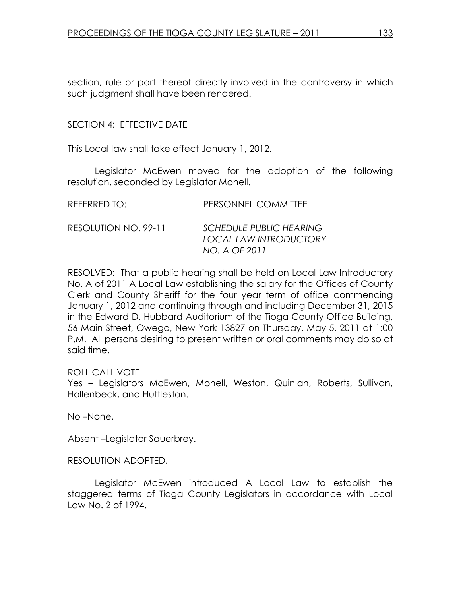section, rule or part thereof directly involved in the controversy in which such judgment shall have been rendered.

# SECTION 4: EFFECTIVE DATE

This Local law shall take effect January 1, 2012.

 Legislator McEwen moved for the adoption of the following resolution, seconded by Legislator Monell.

| REFERRED TO:         | PERSONNEL COMMITTEE                                                       |
|----------------------|---------------------------------------------------------------------------|
| RESOLUTION NO. 99-11 | <b>SCHEDULE PUBLIC HEARING</b><br>LOCAL LAW INTRODUCTORY<br>NO. A OF 2011 |

RESOLVED: That a public hearing shall be held on Local Law Introductory No. A of 2011 A Local Law establishing the salary for the Offices of County Clerk and County Sheriff for the four year term of office commencing January 1, 2012 and continuing through and including December 31, 2015 in the Edward D. Hubbard Auditorium of the Tioga County Office Building, 56 Main Street, Owego, New York 13827 on Thursday, May 5, 2011 at 1:00 P.M. All persons desiring to present written or oral comments may do so at said time.

# ROLL CALL VOTE

Yes – Legislators McEwen, Monell, Weston, Quinlan, Roberts, Sullivan, Hollenbeck, and Huttleston.

No –None.

Absent –Legislator Sauerbrey.

# RESOLUTION ADOPTED.

 Legislator McEwen introduced A Local Law to establish the staggered terms of Tioga County Legislators in accordance with Local Law No. 2 of 1994.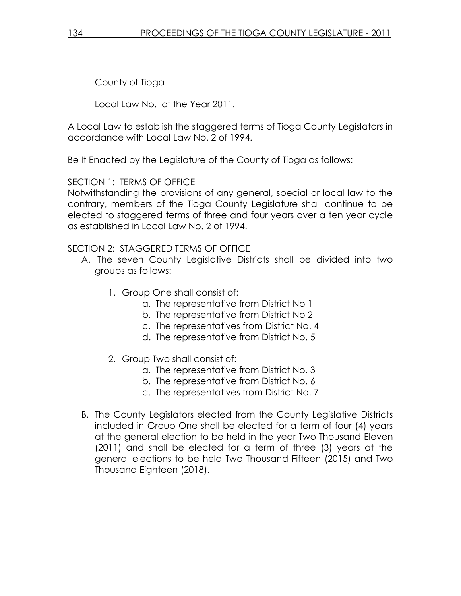County of Tioga

Local Law No. of the Year 2011.

A Local Law to establish the staggered terms of Tioga County Legislators in accordance with Local Law No. 2 of 1994.

Be It Enacted by the Legislature of the County of Tioga as follows:

SECTION 1: TERMS OF OFFICE

Notwithstanding the provisions of any general, special or local law to the contrary, members of the Tioga County Legislature shall continue to be elected to staggered terms of three and four years over a ten year cycle as established in Local Law No. 2 of 1994.

SECTION 2: STAGGERED TERMS OF OFFICE

- A. The seven County Legislative Districts shall be divided into two groups as follows:
	- 1. Group One shall consist of:
		- a. The representative from District No 1
		- b. The representative from District No 2
		- c. The representatives from District No. 4
		- d. The representative from District No. 5
	- 2. Group Two shall consist of:
		- a. The representative from District No. 3
		- b. The representative from District No. 6
		- c. The representatives from District No. 7
- B. The County Legislators elected from the County Legislative Districts included in Group One shall be elected for a term of four (4) years at the general election to be held in the year Two Thousand Eleven (2011) and shall be elected for a term of three (3) years at the general elections to be held Two Thousand Fifteen (2015) and Two Thousand Eighteen (2018).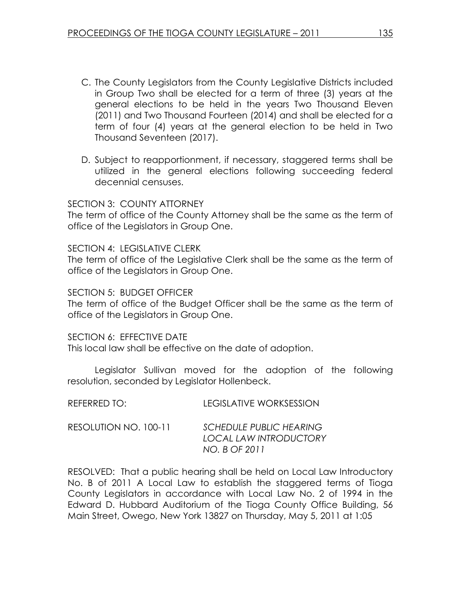- C. The County Legislators from the County Legislative Districts included in Group Two shall be elected for a term of three (3) years at the general elections to be held in the years Two Thousand Eleven (2011) and Two Thousand Fourteen (2014) and shall be elected for a term of four (4) years at the general election to be held in Two Thousand Seventeen (2017).
- D. Subject to reapportionment, if necessary, staggered terms shall be utilized in the general elections following succeeding federal decennial censuses.

### SECTION 3: COUNTY ATTORNEY

The term of office of the County Attorney shall be the same as the term of office of the Legislators in Group One.

### SECTION 4: LEGISLATIVE CLERK

The term of office of the Legislative Clerk shall be the same as the term of office of the Legislators in Group One.

### SECTION 5: BUDGET OFFICFR

The term of office of the Budget Officer shall be the same as the term of office of the Legislators in Group One.

### SECTION 6: EFFECTIVE DATE

This local law shall be effective on the date of adoption.

 Legislator Sullivan moved for the adoption of the following resolution, seconded by Legislator Hollenbeck.

| REFERRED TO:          | <b>LEGISLATIVE WORKSESSION</b>                                                   |
|-----------------------|----------------------------------------------------------------------------------|
| RESOLUTION NO. 100-11 | <b>SCHEDULE PUBLIC HEARING</b><br><b>LOCAL LAW INTRODUCTORY</b><br>NO. B OF 2011 |

RESOLVED: That a public hearing shall be held on Local Law Introductory No. B of 2011 A Local Law to establish the staggered terms of Tioga County Legislators in accordance with Local Law No. 2 of 1994 in the Edward D. Hubbard Auditorium of the Tioga County Office Building, 56 Main Street, Owego, New York 13827 on Thursday, May 5, 2011 at 1:05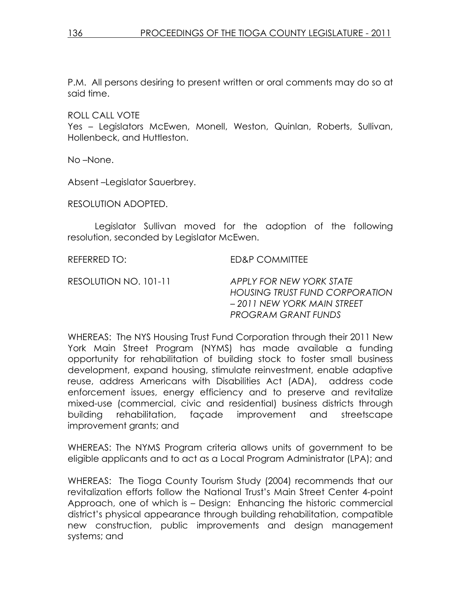P.M. All persons desiring to present written or oral comments may do so at said time.

ROLL CALL VOTE

Yes – Legislators McEwen, Monell, Weston, Quinlan, Roberts, Sullivan, Hollenbeck, and Huttleston.

No –None.

Absent –Legislator Sauerbrey.

RESOLUTION ADOPTED.

 Legislator Sullivan moved for the adoption of the following resolution, seconded by Legislator McEwen.

REFERRED TO: ED&P COMMITTEE

RESOLUTION NO. 101-11 APPLY FOR NEW YORK STATE HOUSING TRUST FUND CORPORATION – 2011 NEW YORK MAIN STREET PROGRAM GRANT FUNDS

WHEREAS: The NYS Housing Trust Fund Corporation through their 2011 New York Main Street Program (NYMS) has made available a funding opportunity for rehabilitation of building stock to foster small business development, expand housing, stimulate reinvestment, enable adaptive reuse, address Americans with Disabilities Act (ADA), address code enforcement issues, energy efficiency and to preserve and revitalize mixed-use (commercial, civic and residential) business districts through building rehabilitation, façade improvement and streetscape improvement grants; and

WHEREAS: The NYMS Program criteria allows units of government to be eligible applicants and to act as a Local Program Administrator (LPA); and

WHEREAS: The Tioga County Tourism Study (2004) recommends that our revitalization efforts follow the National Trust's Main Street Center 4-point Approach, one of which is – Design: Enhancing the historic commercial district's physical appearance through building rehabilitation, compatible new construction, public improvements and design management systems; and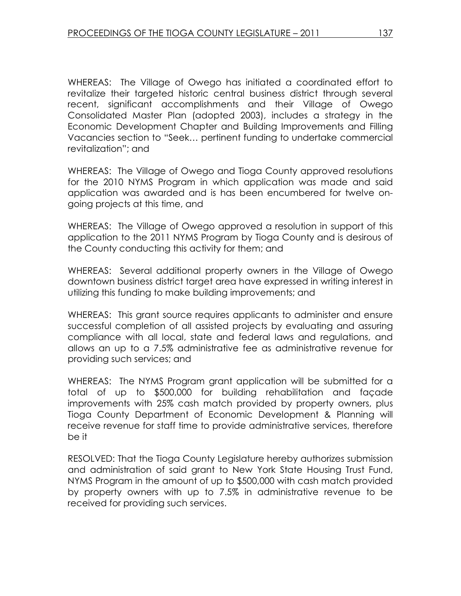WHEREAS: The Village of Owego has initiated a coordinated effort to revitalize their targeted historic central business district through several recent, significant accomplishments and their Village of Owego Consolidated Master Plan (adopted 2003), includes a strategy in the Economic Development Chapter and Building Improvements and Filling Vacancies section to "Seek… pertinent funding to undertake commercial revitalization"; and

WHEREAS: The Village of Owego and Tioga County approved resolutions for the 2010 NYMS Program in which application was made and said application was awarded and is has been encumbered for twelve ongoing projects at this time, and

WHEREAS: The Village of Owego approved a resolution in support of this application to the 2011 NYMS Program by Tioga County and is desirous of the County conducting this activity for them; and

WHEREAS: Several additional property owners in the Village of Owego downtown business district target area have expressed in writing interest in utilizing this funding to make building improvements; and

WHEREAS: This grant source requires applicants to administer and ensure successful completion of all assisted projects by evaluating and assuring compliance with all local, state and federal laws and regulations, and allows an up to a 7.5% administrative fee as administrative revenue for providing such services; and

WHEREAS: The NYMS Program grant application will be submitted for a total of up to \$500,000 for building rehabilitation and façade improvements with 25% cash match provided by property owners, plus Tioga County Department of Economic Development & Planning will receive revenue for staff time to provide administrative services, therefore be it

RESOLVED: That the Tioga County Legislature hereby authorizes submission and administration of said grant to New York State Housing Trust Fund, NYMS Program in the amount of up to \$500,000 with cash match provided by property owners with up to 7.5% in administrative revenue to be received for providing such services.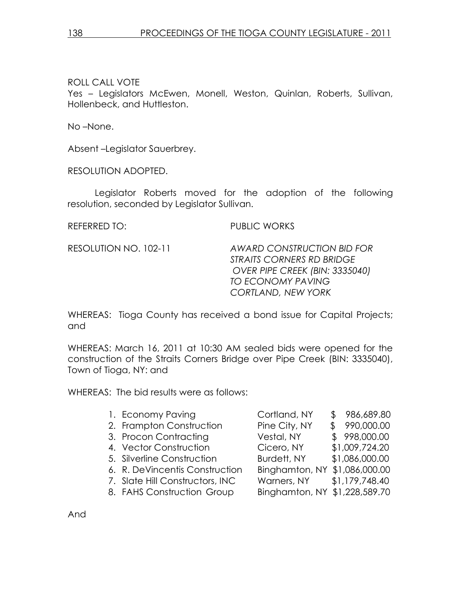# ROLL CALL VOTE

Yes – Legislators McEwen, Monell, Weston, Quinlan, Roberts, Sullivan, Hollenbeck, and Huttleston.

No –None.

Absent –Legislator Sauerbrey.

RESOLUTION ADOPTED.

 Legislator Roberts moved for the adoption of the following resolution, seconded by Legislator Sullivan.

REFERRED TO: PUBLIC WORKS

RESOLUTION NO. 102-11 AWARD CONSTRUCTION BID FOR STRAITS CORNERS RD BRIDGE OVER PIPE CREEK (BIN: 3335040) TO ECONOMY PAVING CORTLAND, NEW YORK

WHEREAS: Tioga County has received a bond issue for Capital Projects; and

WHEREAS: March 16, 2011 at 10:30 AM sealed bids were opened for the construction of the Straits Corners Bridge over Pipe Creek (BIN: 3335040), Town of Tioga, NY: and

WHEREAS: The bid results were as follows:

| 1. Economy Paving               | Cortland, NY                  | \$986,689.80   |
|---------------------------------|-------------------------------|----------------|
| 2. Frampton Construction        | Pine City, NY                 | \$990,000.00   |
| 3. Procon Contracting           | Vestal, NY                    | \$998,000.00   |
| 4. Vector Construction          | Cicero, NY                    | \$1,009,724.20 |
| 5. Silverline Construction      | Burdett, NY                   | \$1,086,000.00 |
| 6. R. DeVincentis Construction  | Binghamton, NY                | \$1,086,000.00 |
| 7. Slate Hill Constructors, INC | Warners, NY                   | \$1,179,748.40 |
| 8. FAHS Construction Group      | Binghamton, NY \$1,228,589.70 |                |
|                                 |                               |                |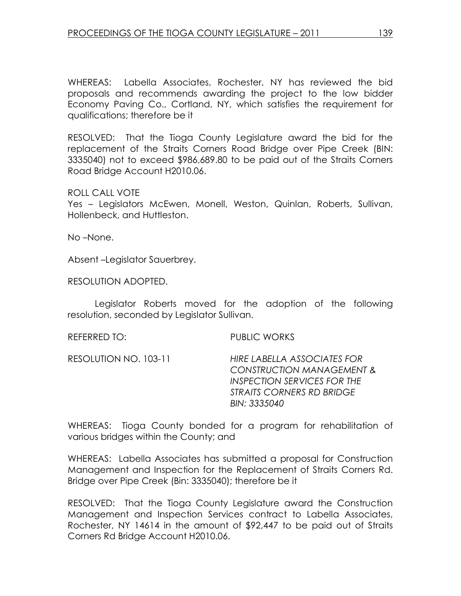WHEREAS: Labella Associates, Rochester, NY has reviewed the bid proposals and recommends awarding the project to the low bidder Economy Paving Co., Cortland, NY, which satisfies the requirement for qualifications; therefore be it

RESOLVED: That the Tioga County Legislature award the bid for the replacement of the Straits Corners Road Bridge over Pipe Creek (BIN: 3335040) not to exceed \$986,689.80 to be paid out of the Straits Corners Road Bridge Account H2010.06.

### ROLL CALL VOTE

Yes – Legislators McEwen, Monell, Weston, Quinlan, Roberts, Sullivan, Hollenbeck, and Huttleston.

No –None.

Absent –Legislator Sauerbrey.

RESOLUTION ADOPTED.

 Legislator Roberts moved for the adoption of the following resolution, seconded by Legislator Sullivan.

REFERRED TO: PUBLIC WORKS

RESOLUTION NO. 103-11 HIRE LABELLA ASSOCIATES FOR CONSTRUCTION MANAGEMENT & INSPECTION SERVICES FOR THE STRAITS CORNERS RD BRIDGE BIN: 3335040

WHEREAS: Tioga County bonded for a program for rehabilitation of various bridges within the County; and

WHEREAS: Labella Associates has submitted a proposal for Construction Management and Inspection for the Replacement of Straits Corners Rd. Bridge over Pipe Creek (Bin: 3335040); therefore be it

RESOLVED: That the Tioga County Legislature award the Construction Management and Inspection Services contract to Labella Associates, Rochester, NY 14614 in the amount of \$92,447 to be paid out of Straits Corners Rd Bridge Account H2010.06.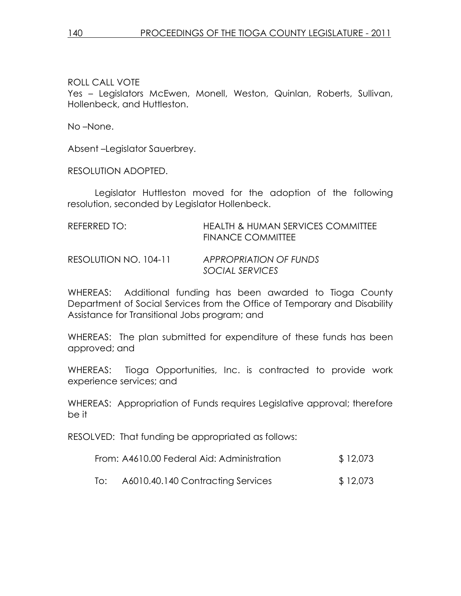# ROLL CALL VOTE

Yes – Legislators McEwen, Monell, Weston, Quinlan, Roberts, Sullivan, Hollenbeck, and Huttleston.

No –None.

Absent –Legislator Sauerbrey.

RESOLUTION ADOPTED.

 Legislator Huttleston moved for the adoption of the following resolution, seconded by Legislator Hollenbeck.

| REFERRED TO:          | <b>HEALTH &amp; HUMAN SERVICES COMMITTEE</b><br><b>FINANCE COMMITTEE</b> |
|-----------------------|--------------------------------------------------------------------------|
| RESOLUTION NO. 104-11 | APPROPRIATION OF FUNDS<br>SOCIAL SERVICES                                |

WHEREAS: Additional funding has been awarded to Tioga County Department of Social Services from the Office of Temporary and Disability Assistance for Transitional Jobs program; and

WHEREAS: The plan submitted for expenditure of these funds has been approved; and

WHEREAS: Tioga Opportunities, Inc. is contracted to provide work experience services; and

WHEREAS: Appropriation of Funds requires Legislative approval; therefore be it

RESOLVED: That funding be appropriated as follows:

| From: A4610.00 Federal Aid: Administration | \$12,073 |
|--------------------------------------------|----------|
|--------------------------------------------|----------|

To: A6010.40.140 Contracting Services \$ 12,073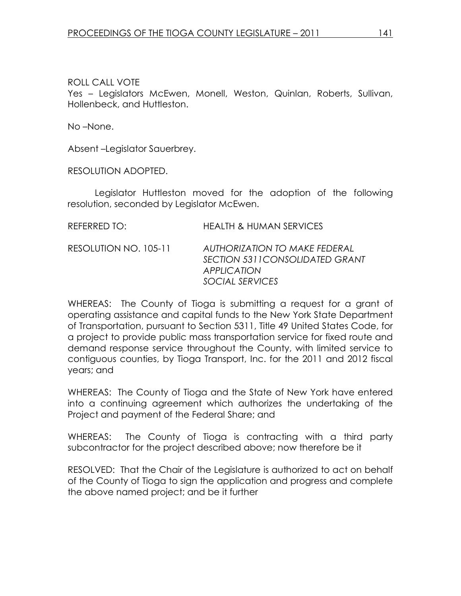# ROLL CALL VOTE

Yes – Legislators McEwen, Monell, Weston, Quinlan, Roberts, Sullivan, Hollenbeck, and Huttleston.

No –None.

Absent –Legislator Sauerbrey.

RESOLUTION ADOPTED.

 Legislator Huttleston moved for the adoption of the following resolution, seconded by Legislator McEwen.

| REFERRED TO:          | <b>HEALTH &amp; HUMAN SERVICES</b>                                                                        |
|-----------------------|-----------------------------------------------------------------------------------------------------------|
| RESOLUTION NO. 105-11 | AUTHORIZATION TO MAKE FEDERAL<br>SECTION 5311 CONSOLIDATED GRANT<br><b>APPLICATION</b><br>SOCIAL SERVICES |

WHEREAS: The County of Tioga is submitting a request for a grant of operating assistance and capital funds to the New York State Department of Transportation, pursuant to Section 5311, Title 49 United States Code, for a project to provide public mass transportation service for fixed route and demand response service throughout the County, with limited service to contiguous counties, by Tioga Transport, Inc. for the 2011 and 2012 fiscal years; and

WHEREAS: The County of Tioga and the State of New York have entered into a continuing agreement which authorizes the undertaking of the Project and payment of the Federal Share; and

WHEREAS: The County of Tioga is contracting with a third party subcontractor for the project described above; now therefore be it

RESOLVED: That the Chair of the Legislature is authorized to act on behalf of the County of Tioga to sign the application and progress and complete the above named project; and be it further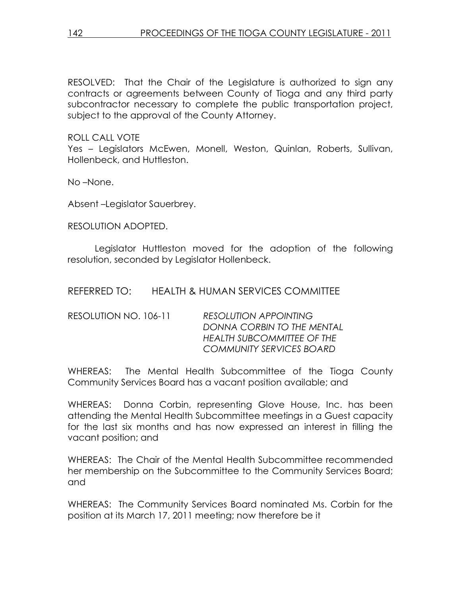RESOLVED: That the Chair of the Legislature is authorized to sign any contracts or agreements between County of Tioga and any third party subcontractor necessary to complete the public transportation project, subject to the approval of the County Attorney.

# ROLL CALL VOTE

Yes – Legislators McEwen, Monell, Weston, Quinlan, Roberts, Sullivan, Hollenbeck, and Huttleston.

No –None.

Absent –Legislator Sauerbrey.

RESOLUTION ADOPTED.

 Legislator Huttleston moved for the adoption of the following resolution, seconded by Legislator Hollenbeck.

REFERRED TO: HEALTH & HUMAN SERVICES COMMITTEE

| RESOLUTION NO. 106-11 | <b>RESOLUTION APPOINTING</b>      |
|-----------------------|-----------------------------------|
|                       | DONNA CORBIN TO THE MENTAL        |
|                       | <b>HEALTH SUBCOMMITTEE OF THE</b> |
|                       | <b>COMMUNITY SERVICES BOARD</b>   |

WHEREAS: The Mental Health Subcommittee of the Tioga County Community Services Board has a vacant position available; and

WHEREAS: Donna Corbin, representing Glove House, Inc. has been attending the Mental Health Subcommittee meetings in a Guest capacity for the last six months and has now expressed an interest in filling the vacant position; and

WHEREAS: The Chair of the Mental Health Subcommittee recommended her membership on the Subcommittee to the Community Services Board; and

WHEREAS: The Community Services Board nominated Ms. Corbin for the position at its March 17, 2011 meeting; now therefore be it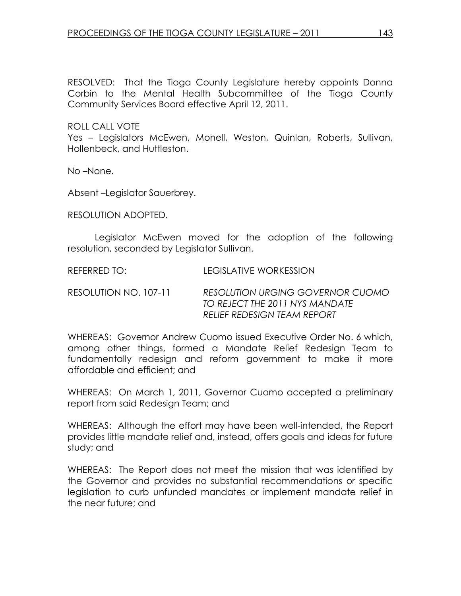RESOLVED: That the Tioga County Legislature hereby appoints Donna Corbin to the Mental Health Subcommittee of the Tioga County Community Services Board effective April 12, 2011.

ROLL CALL VOTE

Yes – Legislators McEwen, Monell, Weston, Quinlan, Roberts, Sullivan, Hollenbeck, and Huttleston.

No –None.

Absent –Legislator Sauerbrey.

RESOLUTION ADOPTED.

 Legislator McEwen moved for the adoption of the following resolution, seconded by Legislator Sullivan.

REFERRED TO: LEGISLATIVE WORKESSION

RESOLUTION NO. 107-11 RESOLUTION URGING GOVERNOR CUOMO TO REJECT THE 2011 NYS MANDATE RELIEF REDESIGN TEAM REPORT

WHEREAS: Governor Andrew Cuomo issued Executive Order No. 6 which, among other things, formed a Mandate Relief Redesign Team to fundamentally redesign and reform government to make it more affordable and efficient; and

WHEREAS: On March 1, 2011, Governor Cuomo accepted a preliminary report from said Redesign Team; and

WHEREAS: Although the effort may have been well-intended, the Report provides little mandate relief and, instead, offers goals and ideas for future study; and

WHEREAS: The Report does not meet the mission that was identified by the Governor and provides no substantial recommendations or specific legislation to curb unfunded mandates or implement mandate relief in the near future; and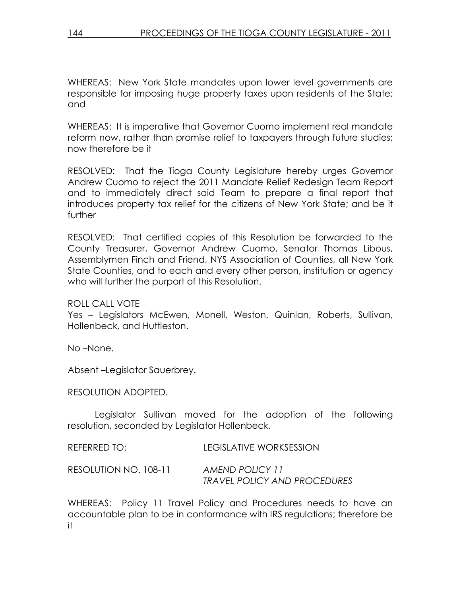WHEREAS: New York State mandates upon lower level governments are responsible for imposing huge property taxes upon residents of the State; and

WHEREAS: It is imperative that Governor Cuomo implement real mandate reform now, rather than promise relief to taxpayers through future studies; now therefore be it

RESOLVED: That the Tioga County Legislature hereby urges Governor Andrew Cuomo to reject the 2011 Mandate Relief Redesign Team Report and to immediately direct said Team to prepare a final report that introduces property tax relief for the citizens of New York State; and be it further

RESOLVED: That certified copies of this Resolution be forwarded to the County Treasurer, Governor Andrew Cuomo, Senator Thomas Libous, Assemblymen Finch and Friend, NYS Association of Counties, all New York State Counties, and to each and every other person, institution or agency who will further the purport of this Resolution.

ROLL CALL VOTE

Yes – Legislators McEwen, Monell, Weston, Quinlan, Roberts, Sullivan, Hollenbeck, and Huttleston.

No –None.

Absent –Legislator Sauerbrey.

RESOLUTION ADOPTED.

 Legislator Sullivan moved for the adoption of the following resolution, seconded by Legislator Hollenbeck.

| REFERRED TO:          | LEGISLATIVE WORKSESSION             |
|-----------------------|-------------------------------------|
| RESOLUTION NO. 108-11 | AMEND POLICY 11                     |
|                       | <b>TRAVEL POLICY AND PROCEDURES</b> |

WHEREAS: Policy 11 Travel Policy and Procedures needs to have an accountable plan to be in conformance with IRS regulations; therefore be it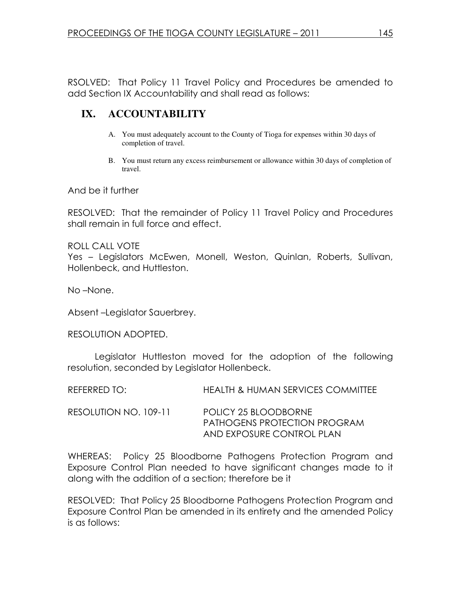RSOLVED: That Policy 11 Travel Policy and Procedures be amended to add Section IX Accountability and shall read as follows:

# **IX. ACCOUNTABILITY**

- A. You must adequately account to the County of Tioga for expenses within 30 days of completion of travel.
- B. You must return any excess reimbursement or allowance within 30 days of completion of travel.

And be it further

RESOLVED: That the remainder of Policy 11 Travel Policy and Procedures shall remain in full force and effect.

ROLL CALL VOTE Yes – Legislators McEwen, Monell, Weston, Quinlan, Roberts, Sullivan, Hollenbeck, and Huttleston.

No –None.

Absent –Legislator Sauerbrey.

RESOLUTION ADOPTED.

 Legislator Huttleston moved for the adoption of the following resolution, seconded by Legislator Hollenbeck.

| REFERRED TO:          | <b>HEALTH &amp; HUMAN SERVICES COMMITTEE</b>                                      |
|-----------------------|-----------------------------------------------------------------------------------|
| RESOLUTION NO. 109-11 | POLICY 25 BLOODBORNE<br>PATHOGENS PROTECTION PROGRAM<br>AND EXPOSURE CONTROL PLAN |

WHEREAS: Policy 25 Bloodborne Pathogens Protection Program and Exposure Control Plan needed to have significant changes made to it along with the addition of a section; therefore be it

RESOLVED: That Policy 25 Bloodborne Pathogens Protection Program and Exposure Control Plan be amended in its entirety and the amended Policy is as follows: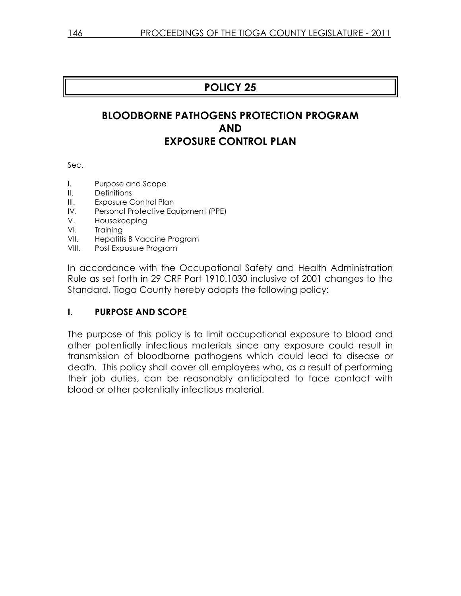# POLICY 25

# BLOODBORNE PATHOGENS PROTECTION PROGRAM AND EXPOSURE CONTROL PLAN

Sec.

- I. Purpose and Scope
- II. Definitions
- III. Exposure Control Plan
- IV. Personal Protective Equipment (PPE)
- V. Housekeeping
- VI. Training
- VII. Hepatitis B Vaccine Program
- VIII. Post Exposure Program

In accordance with the Occupational Safety and Health Administration Rule as set forth in 29 CRF Part 1910.1030 inclusive of 2001 changes to the Standard, Tioga County hereby adopts the following policy:

# I. PURPOSE AND SCOPE

The purpose of this policy is to limit occupational exposure to blood and other potentially infectious materials since any exposure could result in transmission of bloodborne pathogens which could lead to disease or death. This policy shall cover all employees who, as a result of performing their job duties, can be reasonably anticipated to face contact with blood or other potentially infectious material.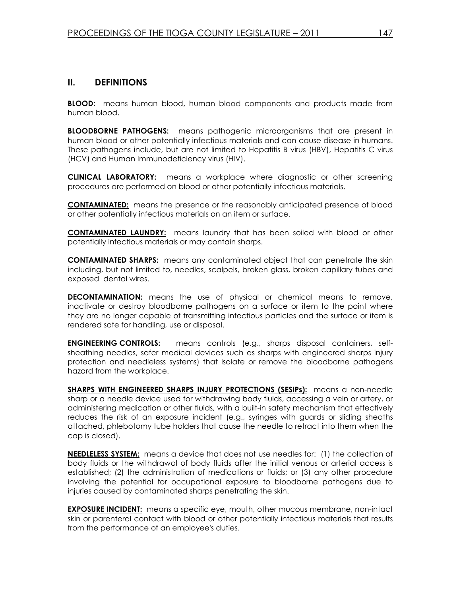### II. DEFINITIONS

**BLOOD:** means human blood, human blood components and products made from human blood.

**BLOODBORNE PATHOGENS:** means pathogenic microorganisms that are present in human blood or other potentially infectious materials and can cause disease in humans. These pathogens include, but are not limited to Hepatitis B virus (HBV), Hepatitis C virus (HCV) and Human Immunodeficiency virus (HIV).

**CLINICAL LABORATORY:** means a workplace where diagnostic or other screening procedures are performed on blood or other potentially infectious materials.

**CONTAMINATED:** means the presence or the reasonably anticipated presence of blood or other potentially infectious materials on an item or surface.

CONTAMINATED LAUNDRY: means laundry that has been soiled with blood or other potentially infectious materials or may contain sharps.

**CONTAMINATED SHARPS:** means any contaminated object that can penetrate the skin including, but not limited to, needles, scalpels, broken glass, broken capillary tubes and exposed dental wires.

**DECONTAMINATION:** means the use of physical or chemical means to remove, inactivate or destroy bloodborne pathogens on a surface or item to the point where they are no longer capable of transmitting infectious particles and the surface or item is rendered safe for handling, use or disposal.

**ENGINEERING CONTROLS:** means controls (e.g., sharps disposal containers, selfsheathing needles, safer medical devices such as sharps with engineered sharps injury protection and needleless systems) that isolate or remove the bloodborne pathogens hazard from the workplace.

SHARPS WITH ENGINEERED SHARPS INJURY PROTECTIONS (SESIPs): means a non-needle sharp or a needle device used for withdrawing body fluids, accessing a vein or artery, or administering medication or other fluids, with a built-in safety mechanism that effectively reduces the risk of an exposure incident (e.g., syringes with guards or sliding sheaths attached, phlebotomy tube holders that cause the needle to retract into them when the cap is closed).

NEEDLELESS SYSTEM: means a device that does not use needles for: (1) the collection of body fluids or the withdrawal of body fluids after the initial venous or arterial access is established; (2) the administration of medications or fluids; or (3) any other procedure involving the potential for occupational exposure to bloodborne pathogens due to injuries caused by contaminated sharps penetrating the skin.

**EXPOSURE INCIDENT:** means a specific eye, mouth, other mucous membrane, non-intact skin or parenteral contact with blood or other potentially infectious materials that results from the performance of an employee's duties.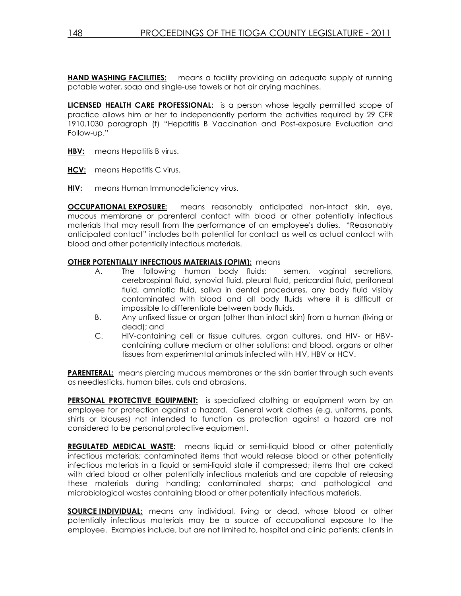**HAND WASHING FACILITIES:** means a facility providing an adequate supply of running potable water, soap and single-use towels or hot air drying machines.

LICENSED HEALTH CARE PROFESSIONAL: is a person whose legally permitted scope of practice allows him or her to independently perform the activities required by 29 CFR 1910.1030 paragraph (f) "Hepatitis B Vaccination and Post-exposure Evaluation and Follow-up."

- HBV: means Hepatitis B virus.
- HCV: means Hepatitis C virus.
- **HIV:** means Human Immunodeficiency virus.

**OCCUPATIONAL EXPOSURE:** means reasonably anticipated non-intact skin, eye, mucous membrane or parenteral contact with blood or other potentially infectious materials that may result from the performance of an employee's duties. "Reasonably anticipated contact" includes both potential for contact as well as actual contact with blood and other potentially infectious materials.

#### OTHER POTENTIALLY INFECTIOUS MATERIALS (OPIM): means

- A. The following human body fluids: semen, vaginal secretions, cerebrospinal fluid, synovial fluid, pleural fluid, pericardial fluid, peritoneal fluid, amniotic fluid, saliva in dental procedures, any body fluid visibly contaminated with blood and all body fluids where it is difficult or impossible to differentiate between body fluids.
- B. Any unfixed tissue or organ (other than intact skin) from a human (living or dead); and
- C. HIV-containing cell or tissue cultures, organ cultures, and HIV- or HBVcontaining culture medium or other solutions; and blood, organs or other tissues from experimental animals infected with HIV, HBV or HCV.

PARENTERAL: means piercing mucous membranes or the skin barrier through such events as needlesticks, human bites, cuts and abrasions.

PERSONAL PROTECTIVE EQUIPMENT: is specialized clothing or equipment worn by an employee for protection against a hazard. General work clothes (e.g. uniforms, pants, shirts or blouses) not intended to function as protection against a hazard are not considered to be personal protective equipment.

**REGULATED MEDICAL WASTE:** means liquid or semi-liquid blood or other potentially infectious materials; contaminated items that would release blood or other potentially infectious materials in a liquid or semi-liquid state if compressed; items that are caked with dried blood or other potentially infectious materials and are capable of releasing these materials during handling; contaminated sharps; and pathological and microbiological wastes containing blood or other potentially infectious materials.

**SOURCE INDIVIDUAL:** means any individual, living or dead, whose blood or other potentially infectious materials may be a source of occupational exposure to the employee. Examples include, but are not limited to, hospital and clinic patients; clients in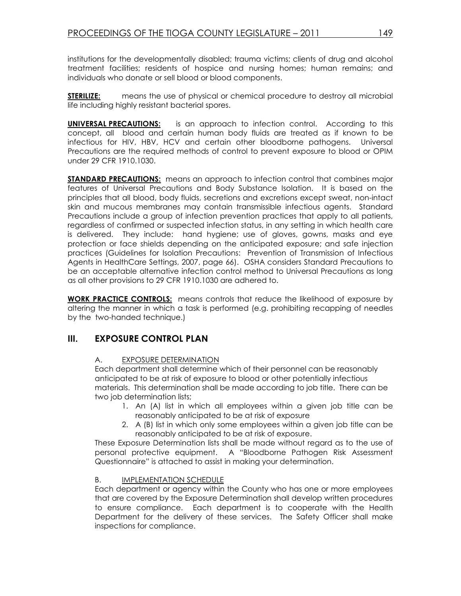institutions for the developmentally disabled; trauma victims; clients of drug and alcohol treatment facilities; residents of hospice and nursing homes; human remains; and individuals who donate or sell blood or blood components.

**STERILIZE:** means the use of physical or chemical procedure to destroy all microbial life including highly resistant bacterial spores.

**UNIVERSAL PRECAUTIONS:** is an approach to infection control. According to this concept, all blood and certain human body fluids are treated as if known to be infectious for HIV, HBV, HCV and certain other bloodborne pathogens. Universal Precautions are the required methods of control to prevent exposure to blood or OPIM under 29 CFR 1910.1030.

**STANDARD PRECAUTIONS:** means an approach to infection control that combines major features of Universal Precautions and Body Substance Isolation. It is based on the principles that all blood, body fluids, secretions and excretions except sweat, non-intact skin and mucous membranes may contain transmissible infectious agents. Standard Precautions include a group of infection prevention practices that apply to all patients, regardless of confirmed or suspected infection status, in any setting in which health care is delivered. They include: hand hygiene; use of gloves, gowns, masks and eye protection or face shields depending on the anticipated exposure; and safe injection practices (Guidelines for Isolation Precautions: Prevention of Transmission of Infectious Agents in HealthCare Settings, 2007, page 66). OSHA considers Standard Precautions to be an acceptable alternative infection control method to Universal Precautions as long as all other provisions to 29 CFR 1910.1030 are adhered to.

**WORK PRACTICE CONTROLS:** means controls that reduce the likelihood of exposure by altering the manner in which a task is performed (e.g. prohibiting recapping of needles by the two-handed technique.)

### III. EXPOSURE CONTROL PLAN

### A. EXPOSURE DETERMINATION

Each department shall determine which of their personnel can be reasonably anticipated to be at risk of exposure to blood or other potentially infectious materials. This determination shall be made according to job title. There can be two job determination lists;

- 1. An (A) list in which all employees within a given job title can be reasonably anticipated to be at risk of exposure
- 2. A (B) list in which only some employees within a given job title can be reasonably anticipated to be at risk of exposure.

These Exposure Determination lists shall be made without regard as to the use of personal protective equipment. A "Bloodborne Pathogen Risk Assessment Questionnaire" is attached to assist in making your determination.

#### B. IMPLEMENTATION SCHEDULE

Each department or agency within the County who has one or more employees that are covered by the Exposure Determination shall develop written procedures to ensure compliance. Each department is to cooperate with the Health Department for the delivery of these services. The Safety Officer shall make inspections for compliance.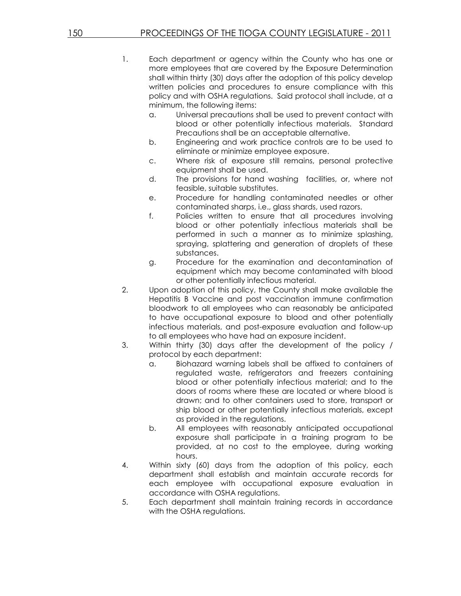- 1. Each department or agency within the County who has one or more employees that are covered by the Exposure Determination shall within thirty (30) days after the adoption of this policy develop written policies and procedures to ensure compliance with this policy and with OSHA regulations. Said protocol shall include, at a minimum, the following items:
	- a. Universal precautions shall be used to prevent contact with blood or other potentially infectious materials. Standard Precautions shall be an acceptable alternative.
	- b. Engineering and work practice controls are to be used to eliminate or minimize employee exposure.
	- c. Where risk of exposure still remains, personal protective equipment shall be used.
	- d. The provisions for hand washing facilities, or, where not feasible, suitable substitutes.
	- e. Procedure for handling contaminated needles or other contaminated sharps, i.e., glass shards, used razors.
	- f. Policies written to ensure that all procedures involving blood or other potentially infectious materials shall be performed in such a manner as to minimize splashing, spraying, splattering and generation of droplets of these substances.
	- g. Procedure for the examination and decontamination of equipment which may become contaminated with blood or other potentially infectious material.
- 2. Upon adoption of this policy, the County shall make available the Hepatitis B Vaccine and post vaccination immune confirmation bloodwork to all employees who can reasonably be anticipated to have occupational exposure to blood and other potentially infectious materials, and post-exposure evaluation and follow-up to all employees who have had an exposure incident.
- 3. Within thirty (30) days after the development of the policy / protocol by each department:
	- a. Biohazard warning labels shall be affixed to containers of regulated waste, refrigerators and freezers containing blood or other potentially infectious material; and to the doors of rooms where these are located or where blood is drawn; and to other containers used to store, transport or ship blood or other potentially infectious materials, except as provided in the regulations.
	- b. All employees with reasonably anticipated occupational exposure shall participate in a training program to be provided, at no cost to the employee, during working hours.
- 4. Within sixty (60) days from the adoption of this policy, each department shall establish and maintain accurate records for each employee with occupational exposure evaluation in accordance with OSHA regulations.
- 5. Each department shall maintain training records in accordance with the OSHA regulations.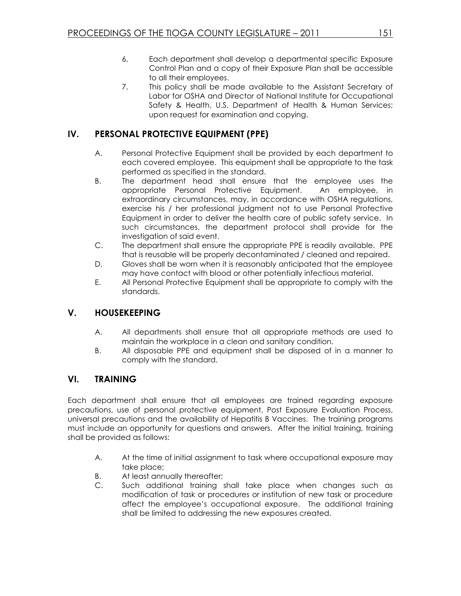- 6. Each department shall develop a departmental specific Exposure Control Plan and a copy of their Exposure Plan shall be accessible to all their employees.
- 7. This policy shall be made available to the Assistant Secretary of Labor for OSHA and Director of National Institute for Occupational Safety & Health, U.S. Department of Health & Human Services; upon request for examination and copying.

# IV. PERSONAL PROTECTIVE EQUIPMENT (PPE)

- A. Personal Protective Equipment shall be provided by each department to each covered employee. This equipment shall be appropriate to the task performed as specified in the standard.
- B. The department head shall ensure that the employee uses the appropriate Personal Protective Equipment. An employee, in extraordinary circumstances, may, in accordance with OSHA regulations, exercise his / her professional judgment not to use Personal Protective Equipment in order to deliver the health care of public safety service. In such circumstances, the department protocol shall provide for the investigation of said event.
- C. The department shall ensure the appropriate PPE is readily available. PPE that is reusable will be properly decontaminated / cleaned and repaired.
- D. Gloves shall be worn when it is reasonably anticipated that the employee may have contact with blood or other potentially infectious material.
- E. All Personal Protective Equipment shall be appropriate to comply with the standards.

# V. HOUSEKEEPING

- A. All departments shall ensure that all appropriate methods are used to maintain the workplace in a clean and sanitary condition.
- B. All disposable PPE and equipment shall be disposed of in a manner to comply with the standard.

# VI. TRAINING

Each department shall ensure that all employees are trained regarding exposure precautions, use of personal protective equipment, Post Exposure Evaluation Process, universal precautions and the availability of Hepatitis B Vaccines. The training programs must include an opportunity for questions and answers. After the initial training, training shall be provided as follows:

- A. At the time of initial assignment to task where occupational exposure may take place;
- B. At least annually thereafter;
- C. Such additional training shall take place when changes such as modification of task or procedures or institution of new task or procedure affect the employee's occupational exposure. The additional training shall be limited to addressing the new exposures created.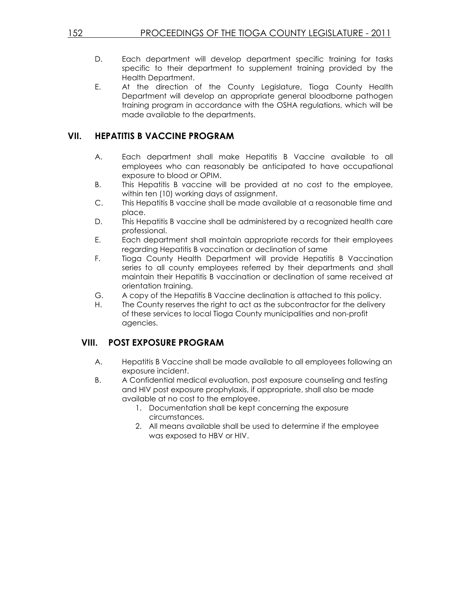- D. Each department will develop department specific training for tasks specific to their department to supplement training provided by the Health Department.
- E. At the direction of the County Legislature, Tioga County Health Department will develop an appropriate general bloodborne pathogen training program in accordance with the OSHA regulations, which will be made available to the departments.

### VII. HEPATITIS B VACCINE PROGRAM

- A. Each department shall make Hepatitis B Vaccine available to all employees who can reasonably be anticipated to have occupational exposure to blood or OPIM.
- B. This Hepatitis B vaccine will be provided at no cost to the employee, within ten (10) working days of assignment.
- C. This Hepatitis B vaccine shall be made available at a reasonable time and place.
- D. This Hepatitis B vaccine shall be administered by a recognized health care professional.
- E. Each department shall maintain appropriate records for their employees regarding Hepatitis B vaccination or declination of same
- F. Tioga County Health Department will provide Hepatitis B Vaccination series to all county employees referred by their departments and shall maintain their Hepatitis B vaccination or declination of same received at orientation training.
- G. A copy of the Hepatitis B Vaccine declination is attached to this policy.
- H. The County reserves the right to act as the subcontractor for the delivery of these services to local Tioga County municipalities and non-profit agencies.

### VIII. POST EXPOSURE PROGRAM

- A. Hepatitis B Vaccine shall be made available to all employees following an exposure incident.
- B. A Confidential medical evaluation, post exposure counseling and testing and HIV post exposure prophylaxis, if appropriate, shall also be made available at no cost to the employee.
	- 1. Documentation shall be kept concerning the exposure circumstances.
	- 2. All means available shall be used to determine if the employee was exposed to HBV or HIV.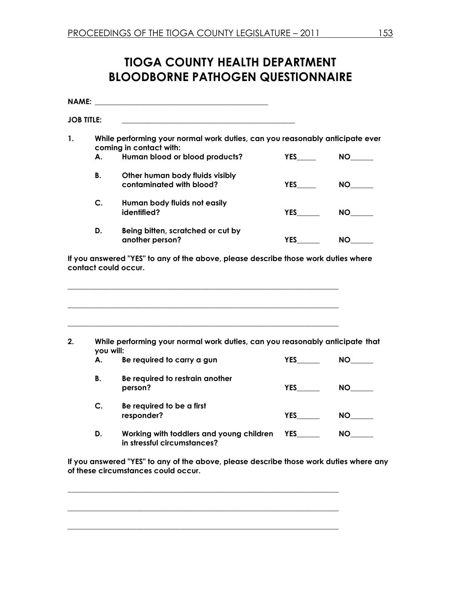# TIOGA COUNTY HEALTH DEPARTMENT BLOODBORNE PATHOGEN QUESTIONNAIRE

| <b>NAME:</b> |                                                                                                         |                                                                                                            |            |                 |  |
|--------------|---------------------------------------------------------------------------------------------------------|------------------------------------------------------------------------------------------------------------|------------|-----------------|--|
|              | <b>JOB TITLE:</b>                                                                                       |                                                                                                            |            |                 |  |
| 1.           | While performing your normal work duties, can you reasonably anticipate ever<br>coming in contact with: |                                                                                                            |            |                 |  |
|              | А.                                                                                                      | Human blood or blood products?                                                                             | <b>YES</b> | <b>NO</b>       |  |
|              | <b>B.</b>                                                                                               | Other human body fluids visibly<br>contaminated with blood?                                                | <b>YES</b> | <b>NO</b>       |  |
|              | C.                                                                                                      | Human body fluids not easily<br>identified?                                                                | YES        |                 |  |
|              | D.                                                                                                      | Being bitten, scratched or cut by<br>another person?                                                       | <b>YES</b> | NO <sub>2</sub> |  |
|              |                                                                                                         | If you answered "YES" to any of the above, please describe those work duties where<br>contact could occur. |            |                 |  |
| 2.           | While performing your normal work duties, can you reasonably anticipate that<br>you will:               |                                                                                                            |            |                 |  |
|              | А.                                                                                                      | Be required to carry a gun                                                                                 | <b>YES</b> | <b>NO</b>       |  |
|              | <b>B.</b>                                                                                               | Be required to restrain another<br>person?                                                                 | <b>YES</b> | <b>NO</b>       |  |
|              | C.                                                                                                      | Be required to be a first<br>responder?                                                                    | <b>YES</b> |                 |  |
|              | D.                                                                                                      | Working with toddlers and young children<br>in stressful circumstances?                                    | <b>YES</b> | <b>NO</b>       |  |

If you answered "YES" to any of the above, please describe those work duties where any of these circumstances could occur.

\_\_\_\_\_\_\_\_\_\_\_\_\_\_\_\_\_\_\_\_\_\_\_\_\_\_\_\_\_\_\_\_\_\_\_\_\_\_\_\_\_\_\_\_\_\_\_\_\_\_\_\_\_\_\_\_\_\_\_\_\_\_\_\_\_\_\_\_\_\_\_\_

\_\_\_\_\_\_\_\_\_\_\_\_\_\_\_\_\_\_\_\_\_\_\_\_\_\_\_\_\_\_\_\_\_\_\_\_\_\_\_\_\_\_\_\_\_\_\_\_\_\_\_\_\_\_\_\_\_\_\_\_\_\_\_\_\_\_\_\_\_\_\_\_

\_\_\_\_\_\_\_\_\_\_\_\_\_\_\_\_\_\_\_\_\_\_\_\_\_\_\_\_\_\_\_\_\_\_\_\_\_\_\_\_\_\_\_\_\_\_\_\_\_\_\_\_\_\_\_\_\_\_\_\_\_\_\_\_\_\_\_\_\_\_\_\_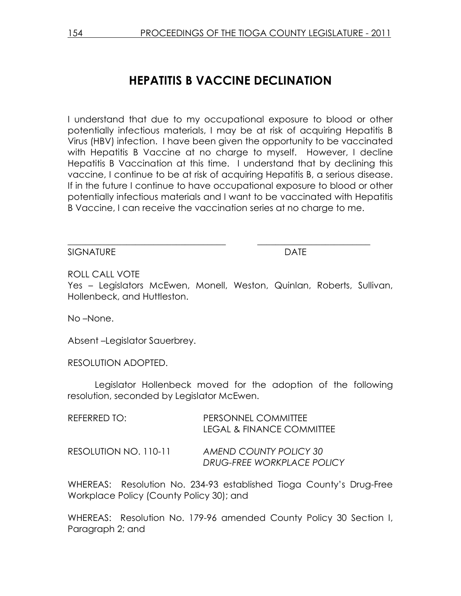# HEPATITIS B VACCINE DECLINATION

I understand that due to my occupational exposure to blood or other potentially infectious materials, I may be at risk of acquiring Hepatitis B Virus (HBV) infection. I have been given the opportunity to be vaccinated with Hepatitis B Vaccine at no charge to myself. However, I decline Hepatitis B Vaccination at this time. I understand that by declining this vaccine, I continue to be at risk of acquiring Hepatitis B, a serious disease. If in the future I continue to have occupational exposure to blood or other potentially infectious materials and I want to be vaccinated with Hepatitis B Vaccine, I can receive the vaccination series at no charge to me.

SIGNATURE DATE

ROLL CALL VOTE

Yes – Legislators McEwen, Monell, Weston, Quinlan, Roberts, Sullivan, Hollenbeck, and Huttleston.

\_\_\_\_\_\_\_\_\_\_\_\_\_\_\_\_\_\_\_\_\_\_\_\_\_\_\_\_\_\_\_\_\_\_\_ \_\_\_\_\_\_\_\_\_\_\_\_\_\_\_\_\_\_\_\_\_\_\_\_\_

No –None.

Absent –Legislator Sauerbrey.

### RESOLUTION ADOPTED.

 Legislator Hollenbeck moved for the adoption of the following resolution, seconded by Legislator McEwen.

| REFERRED TO:          | PERSONNEL COMMITTEE<br><b>LEGAL &amp; FINANCE COMMITTEE</b> |
|-----------------------|-------------------------------------------------------------|
| RESOLUTION NO. 110-11 | AMEND COUNTY POLICY 30<br>DRUG-FREE WORKPLACE POLICY        |

WHEREAS: Resolution No. 234-93 established Tioga County's Drug-Free Workplace Policy (County Policy 30); and

WHEREAS: Resolution No. 179-96 amended County Policy 30 Section I, Paragraph 2; and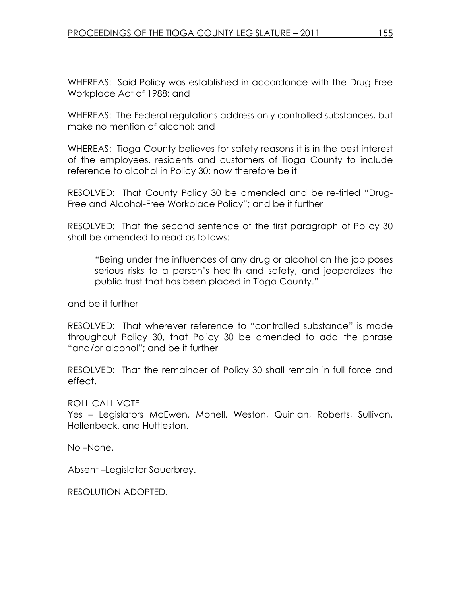WHEREAS: Said Policy was established in accordance with the Drug Free Workplace Act of 1988; and

WHEREAS: The Federal regulations address only controlled substances, but make no mention of alcohol; and

WHEREAS: Tioga County believes for safety reasons it is in the best interest of the employees, residents and customers of Tioga County to include reference to alcohol in Policy 30; now therefore be it

RESOLVED: That County Policy 30 be amended and be re-titled "Drug-Free and Alcohol-Free Workplace Policy"; and be it further

RESOLVED: That the second sentence of the first paragraph of Policy 30 shall be amended to read as follows:

 "Being under the influences of any drug or alcohol on the job poses serious risks to a person's health and safety, and jeopardizes the public trust that has been placed in Tioga County."

and be it further

RESOLVED: That wherever reference to "controlled substance" is made throughout Policy 30, that Policy 30 be amended to add the phrase "and/or alcohol"; and be it further

RESOLVED: That the remainder of Policy 30 shall remain in full force and effect.

# ROLL CALL VOTE

Yes – Legislators McEwen, Monell, Weston, Quinlan, Roberts, Sullivan, Hollenbeck, and Huttleston.

No –None.

Absent –Legislator Sauerbrey.

RESOLUTION ADOPTED.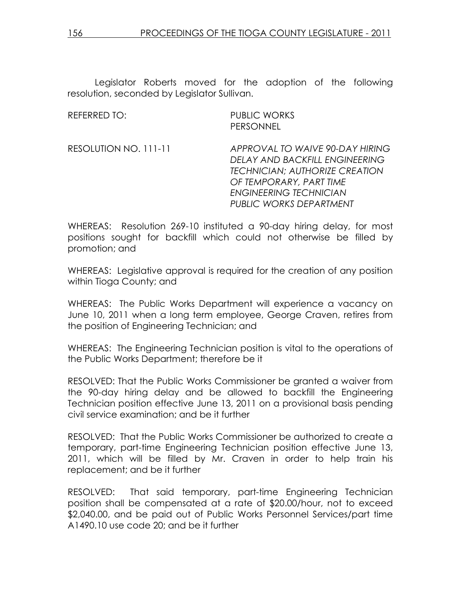Legislator Roberts moved for the adoption of the following resolution, seconded by Legislator Sullivan.

REFERRED TO: PUBLIC WORKS PERSONNEL

RESOLUTION NO. 111-11 APPROVAL TO WAIVE 90-DAY HIRING DELAY AND BACKFILL ENGINEERING TECHNICIAN; AUTHORIZE CREATION OF TEMPORARY, PART TIME ENGINEERING TECHNICIAN PUBLIC WORKS DEPARTMENT

WHEREAS: Resolution 269-10 instituted a 90-day hiring delay, for most positions sought for backfill which could not otherwise be filled by promotion; and

WHEREAS: Legislative approval is required for the creation of any position within Tioga County; and

WHEREAS: The Public Works Department will experience a vacancy on June 10, 2011 when a long term employee, George Craven, retires from the position of Engineering Technician; and

WHEREAS: The Engineering Technician position is vital to the operations of the Public Works Department; therefore be it

RESOLVED: That the Public Works Commissioner be granted a waiver from the 90-day hiring delay and be allowed to backfill the Engineering Technician position effective June 13, 2011 on a provisional basis pending civil service examination; and be it further

RESOLVED: That the Public Works Commissioner be authorized to create a temporary, part-time Engineering Technician position effective June 13, 2011, which will be filled by Mr. Craven in order to help train his replacement; and be it further

RESOLVED: That said temporary, part-time Engineering Technician position shall be compensated at a rate of \$20.00/hour, not to exceed \$2,040.00, and be paid out of Public Works Personnel Services/part time A1490.10 use code 20; and be it further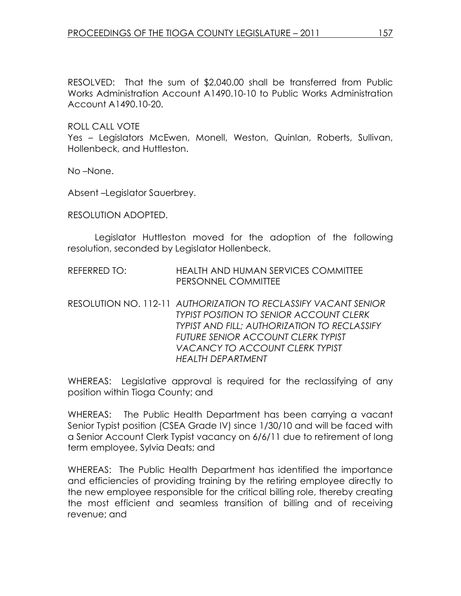RESOLVED: That the sum of \$2,040.00 shall be transferred from Public Works Administration Account A1490.10-10 to Public Works Administration Account A1490.10-20.

ROLL CALL VOTE

Yes – Legislators McEwen, Monell, Weston, Quinlan, Roberts, Sullivan, Hollenbeck, and Huttleston.

No –None.

Absent –Legislator Sauerbrey.

RESOLUTION ADOPTED.

 Legislator Huttleston moved for the adoption of the following resolution, seconded by Legislator Hollenbeck.

- REFERRED TO: HEALTH AND HUMAN SERVICES COMMITTEE PERSONNEL COMMITTEE
- RESOLUTION NO. 112-11 AUTHORIZATION TO RECLASSIFY VACANT SENIOR TYPIST POSITION TO SENIOR ACCOUNT CLERK TYPIST AND FILL; AUTHORIZATION TO RECLASSIFY FUTURE SENIOR ACCOUNT CLERK TYPIST VACANCY TO ACCOUNT CLERK TYPIST HEALTH DEPARTMENT

WHEREAS: Legislative approval is required for the reclassifying of any position within Tioga County; and

WHEREAS: The Public Health Department has been carrying a vacant Senior Typist position (CSEA Grade IV) since 1/30/10 and will be faced with a Senior Account Clerk Typist vacancy on 6/6/11 due to retirement of long term employee, Sylvia Deats; and

WHEREAS: The Public Health Department has identified the importance and efficiencies of providing training by the retiring employee directly to the new employee responsible for the critical billing role, thereby creating the most efficient and seamless transition of billing and of receiving revenue; and